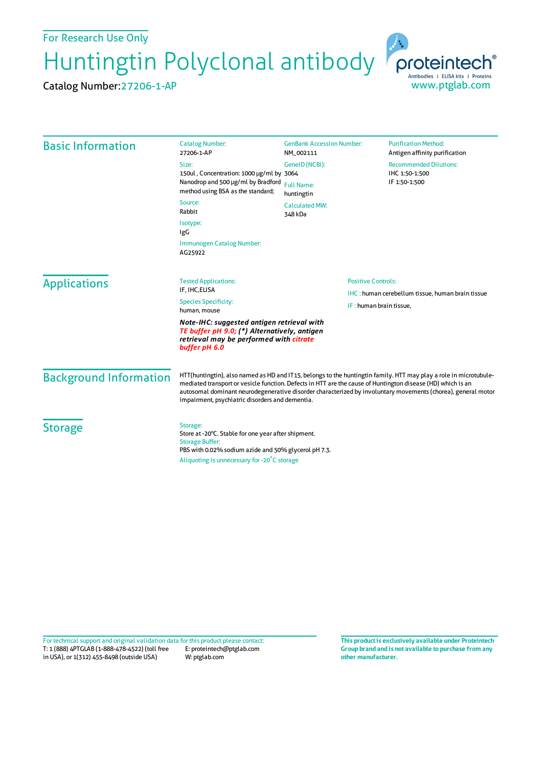For Research Use Only

Huntingtin Polyclonal antibody proteintech®

Catalog Number:27206-1-AP



| <b>Basic Information</b>      | <b>Catalog Number:</b><br>27206-1-AP                                                                                                                                                                                                                                                                                                                                                                | <b>GenBank Accession Number:</b><br>NM_002111        | <b>Purification Method:</b><br>Antigen affinity purification     |
|-------------------------------|-----------------------------------------------------------------------------------------------------------------------------------------------------------------------------------------------------------------------------------------------------------------------------------------------------------------------------------------------------------------------------------------------------|------------------------------------------------------|------------------------------------------------------------------|
|                               | Size:<br>150ul, Concentration: 1000 µg/ml by 3064<br>Nanodrop and 500 µg/ml by Bradford<br>method using BSA as the standard;                                                                                                                                                                                                                                                                        | GenelD (NCBI):<br><b>Full Name:</b><br>huntingtin    | <b>Recommended Dilutions:</b><br>IHC 1:50-1:500<br>IF 1:50-1:500 |
|                               | Source:<br>Rabbit                                                                                                                                                                                                                                                                                                                                                                                   | <b>Calculated MW:</b><br>348 kDa                     |                                                                  |
|                               | Isotype:<br><b>IgG</b>                                                                                                                                                                                                                                                                                                                                                                              |                                                      |                                                                  |
|                               | Immunogen Catalog Number:<br>AG25922                                                                                                                                                                                                                                                                                                                                                                |                                                      |                                                                  |
| <b>Applications</b>           | <b>Tested Applications:</b><br>IF, IHC, ELISA<br><b>Species Specificity:</b><br>human, mouse                                                                                                                                                                                                                                                                                                        | <b>Positive Controls:</b><br>IF: human brain tissue, | <b>IHC:</b> human cerebellum tissue, human brain tissue          |
|                               | Note-IHC: suggested antigen retrieval with<br>TE buffer pH 9.0; (*) Alternatively, antigen<br>retrieval may be performed with citrate<br>buffer pH 6.0                                                                                                                                                                                                                                              |                                                      |                                                                  |
| <b>Background Information</b> | HTT(huntingtin), also named as HD and IT15, belongs to the huntingtin family. HTT may play a role in microtubule-<br>mediated transport or vesicle function. Defects in HTT are the cause of Huntington disease (HD) which is an<br>autosomal dominant neurodegenerative disorder characterized by involuntary movements (chorea), general motor<br>impairment, psychiatric disorders and dementia. |                                                      |                                                                  |
| <b>Storage</b>                | Storage:<br>Store at -20°C. Stable for one year after shipment.<br><b>Storage Buffer:</b><br>PBS with 0.02% sodium azide and 50% glycerol pH 7.3.<br>Aliquoting is unnecessary for -20°C storage                                                                                                                                                                                                    |                                                      |                                                                  |

T: 1 (888) 4PTGLAB (1-888-478-4522) (toll free in USA), or 1(312) 455-8498 (outside USA) E: proteintech@ptglab.com W: ptglab.com Fortechnical support and original validation data forthis product please contact: **This productis exclusively available under Proteintech**

**Group brand and is not available to purchase from any other manufacturer.**